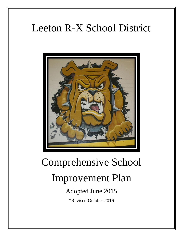# Leeton R-X School District



# Comprehensive School

## Improvement Plan

Adopted June 2015

\*Revised October 2016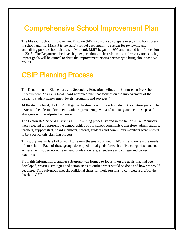### Comprehensive School Improvement Plan

The Missouri School Improvement Program (MSIP) 5 works to prepare every child for success in school and life. MSIP 5 is the state's school accountability system for reviewing and accrediting public school districts in Missouri. MSIP began in 1990 and entered its fifth version in 2013. The Department believes high expectations, a clear vision and a few very focused, high impact goals will be critical to drive the improvement efforts necessary to bring about positive results.

### CSIP Planning Process

The Department of Elementary and Secondary Education defines the Comprehensive School Improvement Plan as "a local board-approved plan that focuses on the improvement of the district's student achievement levels, programs and services."

At the district level, the CSIP will guide the direction of the school district for future years. The CSIP will be a living document, with progress being evaluated annually and action steps and strategies will be adjusted as needed.

The Leeton R-X School District's CSIP planning process started in the fall of 2014. Members were selected to represent the demographics of our school community; therefore, administrators, teachers, support staff, board members, parents, students and community members were invited to be a part of this planning process.

This group met in late fall of 2014 to review the goals outlined in MSIP 5 and review the needs of our school. Each of these groups developed initial goals for each of five categories; student achievement, subgroup achievement, graduation rate, attendance and college and career readiness.

From this information a smaller sub-group was formed to focus in on the goals that had been developed, creating strategies and action steps to outline what would be done and how we would get there. This sub-group met six additional times for work sessions to complete a draft of the district's CSIP.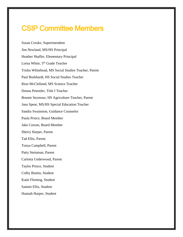### CSIP Committee Members

Susan Crooks, Superintendent Jim Newland, MS/HS Principal Heather Shaffer, Elementary Principal Lorna White, 5<sup>th</sup> Grade Teacher Trisha Whitehead, MS Social Studies Teacher, Parent Paul Burkhardt, HS Social Studies Teacher Rion McClelland, MS Science Teacher Donna Petentler, Title I Teacher Bonnie Seymour, HS Agriculture Teacher, Parent Jana Spear, MS/HS Special Education Teacher Sandra Swainston, Guidance Counselor Paula Prince, Board Member Jake Corson, Board Member Sherry Harper, Parent Tad Ellis, Parent Tonya Campbell, Parent Patty Steinman, Parent Carlotta Underwood, Parent Taylor Prince, Student Colby Buntin, Student Katie Fleming, Student Sammi Ellis, Student Hannah Harper, Student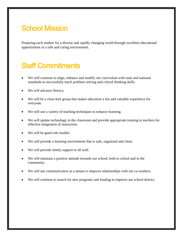### **School Mission**

Preparing each student for a diverse and rapidly changing world through excellent educational opportunities in a safe and caring environment.

### Staff Commitments

- We will continue to align, enhance and modify our curriculum with state and national standards to successfully teach problem solving and critical thinking skills.
- We will advance literacy.
- We will be a close-knit group that makes education a fun and valuable experience for everyone.
- We will use a variety of teaching techniques to enhance learning.
- We will update technology in the classroom and provide appropriate training to teachers for effective integration of instruction.
- We will be good role models.
- We will provide a learning environment that is safe, organized and clean.
- We will provide timely support to all staff.
- We will maintain a positive attitude towards our school, both in school and in the community.
- We will use communication as a means to improve relationships with our co-workers.
- We will continue to search for new programs and funding to improve our school district.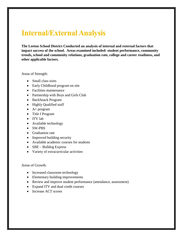### **Internal/External Analysis**

**The Leeton School District Conducted an analysis of internal and external factors that impact success of the school. Areas examined included: student performance, community trends, school and community relations, graduation rate, college and career readiness, and other applicable factors.**

Areas of Strength:

- Small class sizes
- Early Childhood program on site
- Facilities maintenance
- Partnership with Boys and Girls Club
- BackSnack Program
- Highly Qualified staff
- $\bullet$  A+ program
- Title I Program
- ITV lab
- Available technology
- SW-PBS
- Graduation rate
- Improved building security
- Available academic courses for students
- $\bullet$  SBE Bulldog Express
- Variety of extracurricular activities

Areas of Growth:

- Increased classroom technology
- Elementary building improvements
- Review and improve student performance (attendance, assessment)
- Expand ITV and dual credit courses
- Increase ACT scores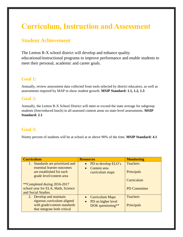### **Curriculum, Instruction and Assessment**

#### **Student Achievement**

The Leeton R-X school district will develop and enhance quality educational/instructional programs to improve performance and enable students to meet their personal, academic and career goals.

#### **Goal 1:**

Annually, review assessment data collected from tools selected by district educators, as well as assessments required by MAP to show student growth. **MSIP Standard: 1.1, 1.2, 1.3**

#### **Goal 2:**

Annually, the Leeton R-X School District will meet or exceed the state average for subgroup students (free/reduced lunch) in all assessed content areas on state-level assessments. **MSIP Standard: 2.1**

#### **Goal 3:**

Ninety percent of students will be at school at or above 90% of the time. **MSIP Standard: 4.1**

| <b>Curriculum</b>                   | <b>Resources</b>                    | <b>Monitoring</b>   |
|-------------------------------------|-------------------------------------|---------------------|
| Standards are prioritized and<br>1. | PD to develop ELO's<br>$\bullet$    | <b>Teachers</b>     |
| essential learner outcomes          | Content area<br>$\bullet$           |                     |
| are established for each            | curriculum maps                     | Principals          |
| grade level/content area            |                                     |                     |
|                                     |                                     | Curriculum          |
| **Completed during 2016-2017        |                                     |                     |
| school year for ELA, Math, Science  |                                     | <b>PD Committee</b> |
| and Social Studies.                 |                                     |                     |
| 2. Develop and maintain             | <b>Curriculum Maps</b><br>$\bullet$ | <b>Teachers</b>     |
| rigorous curriculum aligned         | PD on higher level<br>$\bullet$     |                     |
| with grade/content standards        | DOK questioning**                   | Principals          |
| that integrate both critical        |                                     |                     |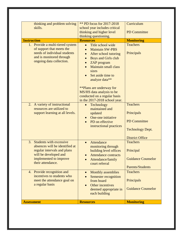| thinking and problem solving                                                                                                                                        | <b>** PD focus for 2017-2018</b>                                                                                                                                              |                                                                                                           |  |  |
|---------------------------------------------------------------------------------------------------------------------------------------------------------------------|-------------------------------------------------------------------------------------------------------------------------------------------------------------------------------|-----------------------------------------------------------------------------------------------------------|--|--|
| skills.                                                                                                                                                             | school year includes critical                                                                                                                                                 | Curriculum                                                                                                |  |  |
|                                                                                                                                                                     | thinking and higher level                                                                                                                                                     | <b>PD</b> Committee                                                                                       |  |  |
|                                                                                                                                                                     | thinking questioning.                                                                                                                                                         |                                                                                                           |  |  |
| <b>Instruction</b>                                                                                                                                                  | <b>Resources</b>                                                                                                                                                              | <b>Monitoring</b>                                                                                         |  |  |
| 1. Provide a multi-tiered system<br>of support that meets the<br>needs of individual students<br>and is monitored through<br>ongoing data collection.               | Title school wide<br>$\bullet$<br><b>Maintain SW-PBS</b><br>After school tutoring<br><b>Boys and Girls club</b><br>ZAP program<br>$\bullet$<br><b>Maintain small class</b>    | <b>Teachers</b><br>Principals                                                                             |  |  |
|                                                                                                                                                                     | sizes<br>Set aside time to<br>analyze data**<br><b>**Plans are underway for</b><br>MS/HS data analysis to be<br>conducted on a regular basis<br>in the 2017-2018 school year. |                                                                                                           |  |  |
| 2. A variety of instructional<br>resources are utilized to<br>support learning at all levels.                                                                       | Technology<br>$\bullet$<br>maintained and<br>updated<br>One-one initiative<br>PD on effective<br>instructional practices                                                      | <b>Teachers</b><br>Principals<br><b>PD</b> Committee<br><b>Technology Dept.</b><br><b>District Office</b> |  |  |
| 3. Students with excessive<br>absences will be identified at<br>regular intervals and plans<br>will be developed and<br>implemented to improve<br>their attendance. | Attendance<br>$\bullet$<br>monitoring through<br>building level offices<br><b>Attendance contracts</b><br>Attendance/family<br>court referral                                 | <b>Teachers</b><br>Principal<br><b>Guidance Counselor</b><br><b>Parents/Students</b>                      |  |  |
| 4. Provide recognition and<br>incentives to students who<br>meet the attendance goal on<br>a regular basis                                                          | <b>Monthly assemblies</b><br>$\bullet$<br>Semester recognition<br>from board<br>Other incentives<br>$\bullet$<br>deemed appropriate in<br>each building                       | <b>Teachers</b><br>Principals<br><b>Guidance Counselor</b>                                                |  |  |
| <b>Assessment</b>                                                                                                                                                   | <b>Resources</b>                                                                                                                                                              | <b>Monitoring</b>                                                                                         |  |  |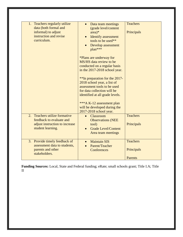| 1. Teachers regularly utilize<br>data (both formal and<br>informal) to adjust<br>instruction and revise<br>curriculum. | Data team meetings<br>$\bullet$<br>(grade level/content<br>$area)*$<br><b>Identify</b> assessment<br>$\bullet$<br>tools to be used**<br>Develop assessment<br>plan***<br>*Plans are underway for<br>MS/HS data review to be<br>conducted on a regular basis<br>in the 2017-2018 school year.<br>**In preparation for the 2017-<br>2018 school year, a list of<br>assessment tools to be used<br>for data collection will be<br>identified at all grade levels.<br>***A K-12 assessment plan<br>will be developed during the<br>2017-2018 school year. | <b>Teachers</b><br>Principals                   |
|------------------------------------------------------------------------------------------------------------------------|-------------------------------------------------------------------------------------------------------------------------------------------------------------------------------------------------------------------------------------------------------------------------------------------------------------------------------------------------------------------------------------------------------------------------------------------------------------------------------------------------------------------------------------------------------|-------------------------------------------------|
| Teachers utilize formative<br>2.<br>feedback to evaluate and<br>adjust instruction to increase<br>student learning.    | Classroom<br>$\bullet$<br><b>Observations (NEE</b><br>tool)<br><b>Grade Level/Content</b><br>Area team meetings                                                                                                                                                                                                                                                                                                                                                                                                                                       | <b>Teachers</b><br>Principals                   |
| 3. Provide timely feedback of<br>assessment data to students,<br>parents and other<br>stakeholders.                    | <b>Maintain SIS</b><br>$\bullet$<br>Parent/Teacher<br>Conferences                                                                                                                                                                                                                                                                                                                                                                                                                                                                                     | <b>Teachers</b><br>Principals<br><b>Parents</b> |

**Funding Sources:** Local, State and Federal funding; eRate; small schools grant; Title I.A; Title II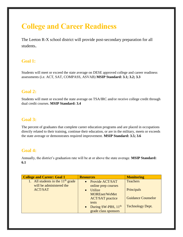### **College and Career Readiness**

The Leeton R-X school district will provide post-secondary preparation for all students.

#### **Goal 1:**

Students will meet or exceed the state average on DESE approved college and career readiness assessments (i.e. ACT, SAT, COMPASS, ASVAB) **MSIP Standard: 3.1; 3.2; 3.3**

#### **Goal 2:**

Students will meet or exceed the state average on TSA/IRC and/or receive college credit through dual credit courses. **MSIP Standard: 3.4**

#### **Goal 3:**

The percent of graduates that complete career education programs and are placed in occupations directly related to their training, continue their education, or are in the military, meets or exceeds the state average or demonstrates required improvement. **MSIP Standard: 3.5; 3.6**

#### **Goal 4:**

Annually, the district's graduation rate will be at or above the state average. **MSIP Standard: 6.1**

| <b>College and Career: Goal 1</b>                               | <b>Resources</b>                                                     | <b>Monitoring</b>         |
|-----------------------------------------------------------------|----------------------------------------------------------------------|---------------------------|
| 1. All students in the $11th$ grade<br>will be administered the | • Provide ACT/SAT<br>online prep courses                             | <b>Teachers</b>           |
| <b>ACT/SAT</b>                                                  | Utilize<br>$\bullet$<br><b>MOREnet/WeMet</b>                         | Principals                |
|                                                                 | <b>ACT/SAT</b> practice<br>tests                                     | <b>Guidance Counselor</b> |
|                                                                 | During SW-PBS, 11 <sup>th</sup><br>$\bullet$<br>grade class sponsors | <b>Technology Dept.</b>   |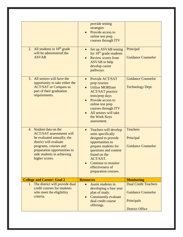| 2. All students in $10th$ grade<br>will be administered the<br><b>ASVAB</b>                                                                                                                                                | provide testing<br>strategies<br>Provide access to<br>online test prep<br>courses through ITV<br>Set up ASVAB testing<br>$\bullet$<br>for $10th$ grade students<br><b>Review scores from</b><br>$\bullet$<br><b>ASVAB</b> to help<br>develop career<br>pathways. | Principal<br><b>Guidance Counselor</b>                                                           |
|----------------------------------------------------------------------------------------------------------------------------------------------------------------------------------------------------------------------------|------------------------------------------------------------------------------------------------------------------------------------------------------------------------------------------------------------------------------------------------------------------|--------------------------------------------------------------------------------------------------|
| All seniors will have the<br>3.<br>opportunity to take either the<br><b>ACT/SAT</b> or Compass as<br>part of their graduation<br>requirements.                                                                             | Provide ACT/SAT<br>prep courses<br><b>Utilize MOREnet</b><br><b>ACT/SAT</b> practice<br>tests/prep days<br>Provide access to<br>online test prep<br>courses through ITV<br>All seniors will take<br>the Work Keys<br>assessment.                                 | <b>Guidance Counselor</b><br><b>Technology Dept.</b>                                             |
| 4. Student data on the<br><b>ACT/SAT</b> assessments will<br>be evaluated annually; the<br>district will evaluate<br>programs, courses and<br>preparation opportunities to<br>aide students in achieving<br>higher scores. | Teachers will develop<br>$\bullet$<br>units specifically<br>designed to provide<br>opportunities to<br>prepare students for<br>questions and content<br>found on the<br>ACT/SAT.<br>Continue to monitor<br>effectiveness of<br>preparation courses.              | <b>Teachers</b><br>Principal<br><b>Guidance Counselor</b>                                        |
| <b>College and Career: Goal 2</b>                                                                                                                                                                                          | <b>Resources</b>                                                                                                                                                                                                                                                 | <b>Monitoring</b>                                                                                |
| The district will provide dual<br>1.<br>credit courses for students<br>who meet the eligibility<br>criteria.                                                                                                               | Assist students in<br>$\bullet$<br>developing a four year<br>plan of study.<br>Consistently evaluate<br>$\bullet$<br>dual credit course<br>offerings.                                                                                                            | <b>Dual Credit Teachers</b><br><b>Guidance Counselor</b><br>Principals<br><b>District Office</b> |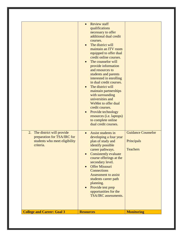| 2. The district will provide<br>preparation for TSA/IRC for<br>students who meet eligibility<br>criteria. | credit online courses.<br>The counselor will<br>provide information<br>and resources to<br>students and parents<br>interested in enrolling<br>in dual credit courses.<br>The district will<br>maintain partnerships<br>with surrounding<br>universities and<br>WeMet to offer dual<br>credit courses.<br>Provide technology<br>resources (i.e. laptops)<br>to complete online<br>dual credit courses.<br>Assist students in<br>$\bullet$<br>developing a four year<br>plan of study and | <b>Guidance Counselor</b><br>Principals |
|-----------------------------------------------------------------------------------------------------------|-----------------------------------------------------------------------------------------------------------------------------------------------------------------------------------------------------------------------------------------------------------------------------------------------------------------------------------------------------------------------------------------------------------------------------------------------------------------------------------------|-----------------------------------------|
|                                                                                                           | identify possible<br>career pathways.<br>Consistently evaluate<br>course offerings at the<br>secondary level.<br><b>Offer Missouri</b><br>Connections<br><b>Assessment to assist</b><br>students career path<br>planning.<br>Provide test prep<br>opportunities for the<br><b>TSA/IRC</b> assessments.                                                                                                                                                                                  | <b>Teachers</b>                         |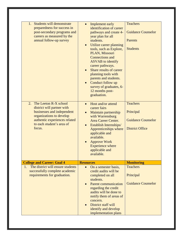| Students will demonstrate<br>1.<br>preparedness for success in<br>post-secondary programs and<br>careers as measured by the<br>annual follow-up survey                                      | Implement early<br>$\bullet$<br>identification of career<br>pathways and create 4-<br>year plan for all<br>students.<br>Utilize career planning<br>$\bullet$<br>tools, such as Explore,<br>PLAN, Missouri<br><b>Connections</b> and<br><b>ASVAB</b> to identify<br>career pathways.<br>Share results of career<br>planning tools with<br>parents and students.<br>Conduct follow up<br>survey of graduates, 6-<br>12 months post-<br>graduation. | <b>Teachers</b><br><b>Guidance Counselor</b><br><b>Parents</b><br><b>Students</b>   |
|---------------------------------------------------------------------------------------------------------------------------------------------------------------------------------------------|--------------------------------------------------------------------------------------------------------------------------------------------------------------------------------------------------------------------------------------------------------------------------------------------------------------------------------------------------------------------------------------------------------------------------------------------------|-------------------------------------------------------------------------------------|
| The Leeton R-X school<br>2.<br>district will partner with<br>businesses and independent<br>organizations to develop<br>authentic experiences related<br>to each student's area of<br>focus. | Host and/or attend<br>$\bullet$<br>career fairs<br>Maintain partnership<br>with Warrensburg<br>Area Career Center.<br>Establish Internships/<br>Apprenticeships where<br>applicable and<br>available.<br><b>Approve Work</b><br><b>Experience where</b><br>applicable and<br>available.                                                                                                                                                          | <b>Teachers</b><br>Principal<br><b>Guidance Counselor</b><br><b>District Office</b> |
| <b>College and Career: Goal 4</b>                                                                                                                                                           | <b>Resources</b>                                                                                                                                                                                                                                                                                                                                                                                                                                 | <b>Monitoring</b>                                                                   |
| The district will ensure students<br>1.<br>successfully complete academic<br>requirements for graduation.                                                                                   | On a semester basis,<br>credit audits will be<br>completed on all<br>students.<br><b>Parent communication</b><br>regarding the credit                                                                                                                                                                                                                                                                                                            | <b>Teachers</b><br>Principal<br><b>Guidance Counselor</b>                           |
|                                                                                                                                                                                             | audits will be done to<br>notify them of areas of<br>concern.<br>District staff will<br>identify and develop<br>implementation plans                                                                                                                                                                                                                                                                                                             |                                                                                     |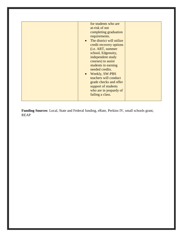| for students who are<br>at-risk of not<br>completing graduation<br>requirements.<br>The district will utilize<br>$\bullet$<br>credit recovery options<br>(i.e. ART, summer<br>school, Edgenuity,<br>independent study<br>courses) to assist<br>students in earning<br>needed credits.<br>Weekly, SW-PBS<br>$\bullet$<br>teachers will conduct<br>grade checks and offer<br>support of students<br>who are in jeopardy of<br>failing a class. |  |
|----------------------------------------------------------------------------------------------------------------------------------------------------------------------------------------------------------------------------------------------------------------------------------------------------------------------------------------------------------------------------------------------------------------------------------------------|--|
|----------------------------------------------------------------------------------------------------------------------------------------------------------------------------------------------------------------------------------------------------------------------------------------------------------------------------------------------------------------------------------------------------------------------------------------------|--|

**Funding Sources**: Local, State and Federal funding, eRate, Perkins IV, small schools grant, REAP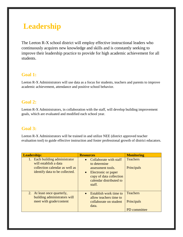### **Leadership**

The Leeton R-X school district will employ effective instructional leaders who continuously acquires new knowledge and skills and is constantly seeking to improve their leadership practice to provide for high academic achievement for all students.

#### **Goal 1:**

Leeton R-X Administrators will use data as a focus for students, teachers and parents to improve academic achievement, attendance and positive school behavior.

#### **Goal 2:**

Leeton R-X Administrators, in collaboration with the staff, will develop building improvement goals, which are evaluated and modified each school year.

#### **Goal 3:**

Leeton R-X Administrators will be trained in and utilize NEE (district approved teacher evaluation tool) to guide effective instruction and foster professional growth of district educators.

| Leadership:                                                                                                                 | <b>Resources</b>                                                                                                                                                             | <b>Monitoring</b>                             |
|-----------------------------------------------------------------------------------------------------------------------------|------------------------------------------------------------------------------------------------------------------------------------------------------------------------------|-----------------------------------------------|
| 1. Each building administrator<br>will establish a data<br>collection calendar as well as<br>identify data to be collected. | Collaborate with staff<br>$\bullet$<br>to determine<br>assessment tools.<br>Electronic or paper<br>$\bullet$<br>copy of data collection<br>calendar distributed to<br>staff. | <b>Teachers</b><br>Principals                 |
| 2. At least once quarterly,<br>building administrators will<br>meet with grade/content                                      | Establish work time to<br>$\bullet$<br>allow teachers time to<br>collaborate on student<br>data.                                                                             | <b>Teachers</b><br>Principals<br>PD committee |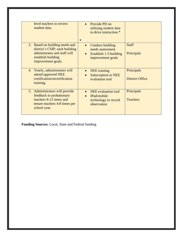|    | level teachers to review<br>student data.                                                                                                    | $\ast$                 | Provide PD on<br>utilizing student data<br>to drive instruction.*                   |                                      |
|----|----------------------------------------------------------------------------------------------------------------------------------------------|------------------------|-------------------------------------------------------------------------------------|--------------------------------------|
|    | 3. Based on building needs and<br>district's CSIP; each building<br>administrator and staff will<br>establish building<br>improvement goals. | $\bullet$<br>$\bullet$ | Conduct building<br>needs assessment<br>Establish 1-3 building<br>improvement goals | <b>Staff</b><br>Principals           |
| 4. | Yearly, administrators will<br>attend approved NEE<br>certification/recertification<br>training.                                             | $\bullet$              | <b>NEE</b> training<br><b>Subscription to NEE</b><br>evaluation tool                | Principals<br><b>District Office</b> |
|    | 5. Administrators will provide<br>feedback to probationary<br>teachers 8-12 times and<br>tenure teachers 4-8 times per<br>school year.       | $\bullet$<br>$\bullet$ | <b>NEE</b> evaluation tool<br>IPad/mobile<br>technology to record<br>observation    | Principals<br><b>Teachers</b>        |

**Funding Sources:** Local, State and Federal funding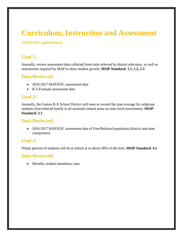### **Curriculum, Instruction and Assessment**

#### **(\*2016-2017 updated data)**

#### **Goal 1:**

Annually, review assessment data collected from tools selected by district educators, as well as assessments required by MAP to show student growth. **MSIP Standard: 1.1, 1.2, 1.3**

#### **Data Reviewed:**

- 2016-2017 MAP/EOC assessment data
- K-5 Evaluate assessment data

#### **Goal 2:**

Annually, the Leeton R-X School District will meet or exceed the state average for subgroup students (free/reduced lunch) in all assessed content areas on state-level assessments. **MSIP Standard: 2.1**

#### **Data Reviewed:**

• 2016-2017 MAP/EOC assessment data of Free/Reduced population (district and state comparison)

#### **Goal 3:**

Ninety percent of students will be at school at or above 90% of the time. **MSIP Standard: 4.1**

#### **Data Reviewed:**

• Monthly student attendance rates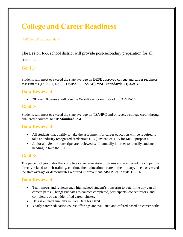### **College and Career Readiness**

#### (\*2016-2017 updated data)

The Leeton R-X school district will provide post-secondary preparation for all students.

#### **Goal 1:**

Students will meet or exceed the state average on DESE approved college and career readiness assessments (i.e. ACT, SAT, COMPASS, ASVAB) **MSIP Standard: 3.1; 3.2; 3.3**

#### **Data Reviewed:**

2017-2018 Seniors will take the WorkKeys Exam instead of COMPASS.

#### **Goal 2:**

Students will meet or exceed the state average on TSA/IRC and/or receive college credit through dual credit courses. **MSIP Standard: 3.4**

#### **Data Reviewed:**

- All students that qualify to take the assessment for career education will be required to take an industry recognized credentials (IRC) instead of TSA for MSIP purposes.
- Junior and Senior transcripts are reviewed semi-annually in order to identify students needing to take the IRC.

#### **Goal 3:**

The percent of graduates that complete career education programs and are placed in occupations directly related to their training, continue their education, or are in the military, meets or exceeds the state average or demonstrates required improvement. **MSIP Standard: 3.5; 3.6**

#### **Data Reviewed:**

- Team meets and reviews each high school student's transcript to determine any can all careers paths. Changes/updates to courses completed, participants, concentrators, and completers of each identified career cluster.
- Data is entered annually in Core Data for DESE
- Yearly career education course offerings are evaluated and offered based on career paths.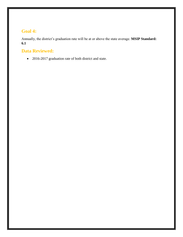#### **Goal 4:**

Annually, the district's graduation rate will be at or above the state average. **MSIP Standard: 6.1**

#### **Data Reviewed:**

2016-2017 graduation rate of both district and state.